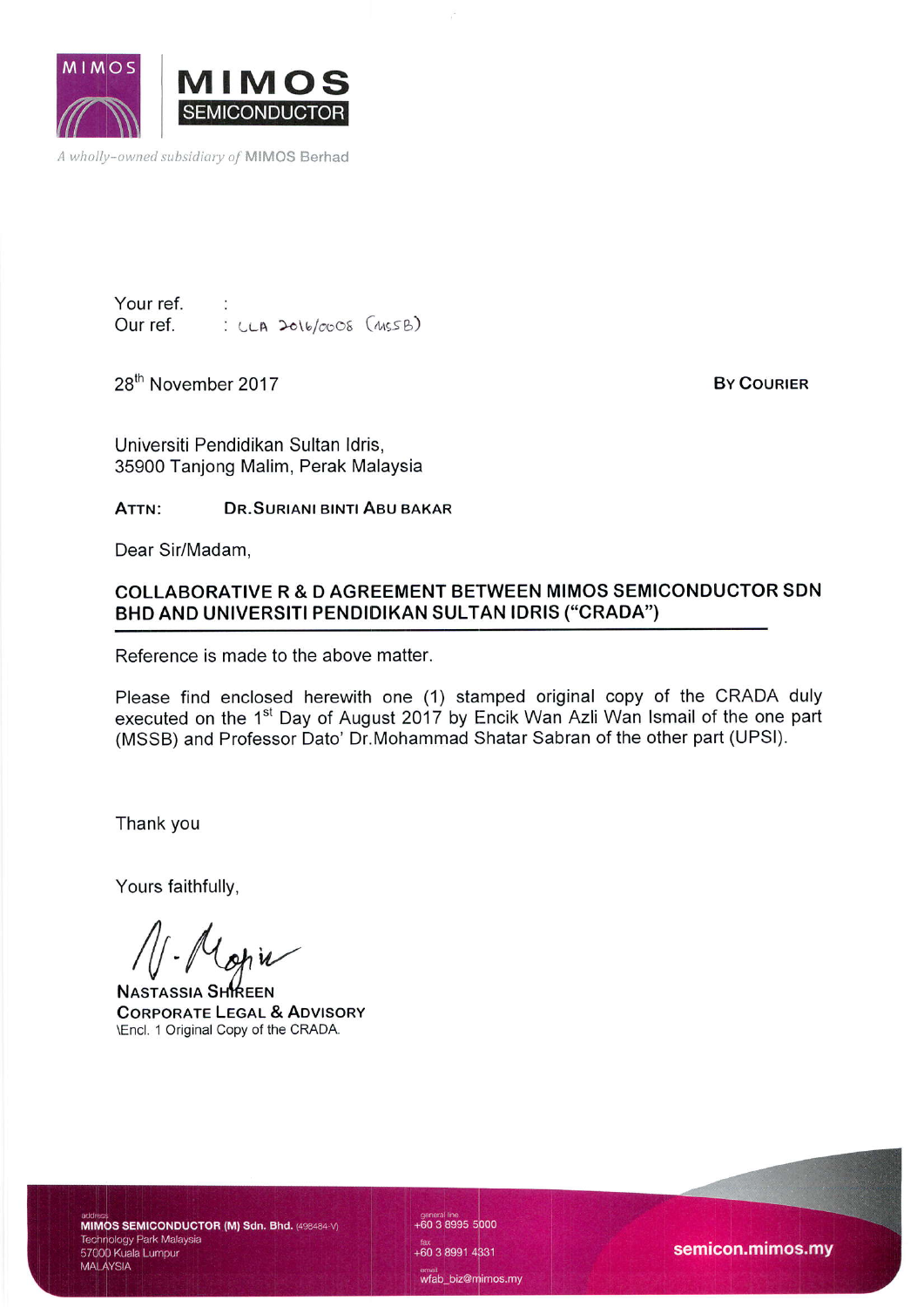

A wholly-owned subsidiary of MIMOS Berhad

Your ref.  $: LLA$  2016/0008  $(MSSB)$ 

28<sup>th</sup> November 2017

**BY COURIER** 

Universiti Pendidikan Sultan ldris, 35900 Tanjong Malim, Perak Malaysia

ATTN: DR.SURIANI BINTI ABU BAKAR

Dear Sir/Madam,

### COLLABORATIVE R & D AGREEMENT BETWEEN MIMOS SEMICONDUCTOR SDN BHD AND UNIVERSITI PENDIDIKAN SULTAN IDRIS ("CRADA')

Reference is made to the above matter.

Please find enclosed herewith one (1) stamped original copy of the CRADA duly executed on the 1<sup>st</sup> Day of August 2017 by Encik Wan Azli Wan Ismail of the one part (MSSB) and Professor Dato' Dr.Mohammad Shatar Sabran of the other part (UPSI).

Thank you

Yours faithfully,

A CHINEEN<br>NASTASSIA SHIREEN<br>CORPORATE LEGAL & ADVISORY

\Encl. 1 Original Copy of the CRADA.

MIMOS SEMICONDUCTOR (M) Sdn. Bhd. (498484-V) Technology Park Malaysia<br>57000 Kuala Lumpur **MALAYSIA** 

general line<br>+60 3 8995 5000 +60 3 8991 4331 wfab\_biz@mimos.my

semicon.mimos.my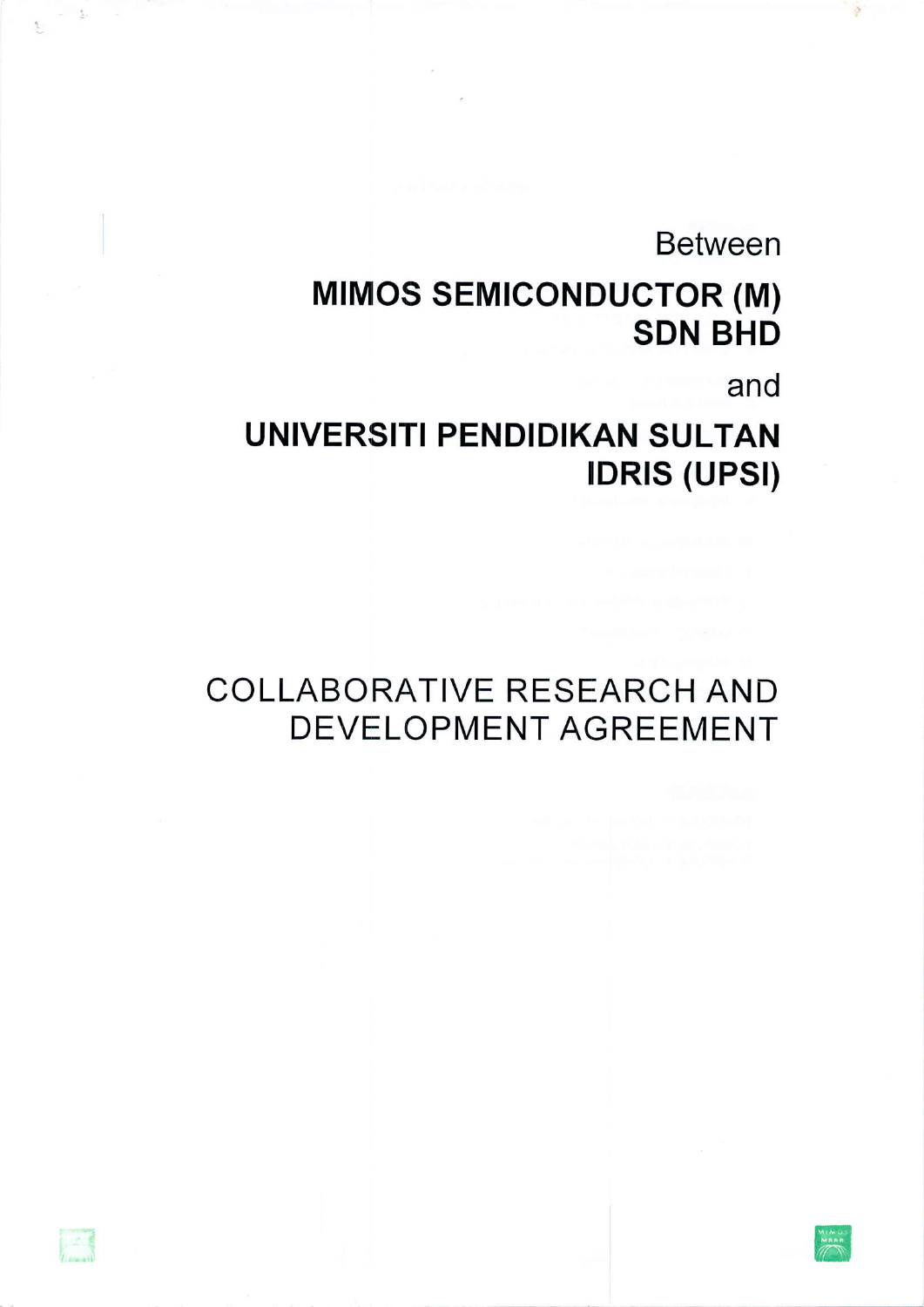**Between** 

# **MIMOS SEMICONDUCTOR (M) SDN BHD**

and

 $\lambda$ 

## **UNIVERSITI PENDIDIKAN SULTAN IDRIS (UPSI)**

 $-3$ 

 $\mathbb{R}^2$ 

## **COLLABORATIVE RESEARCH AND DEVELOPMENT AGREEMENT**

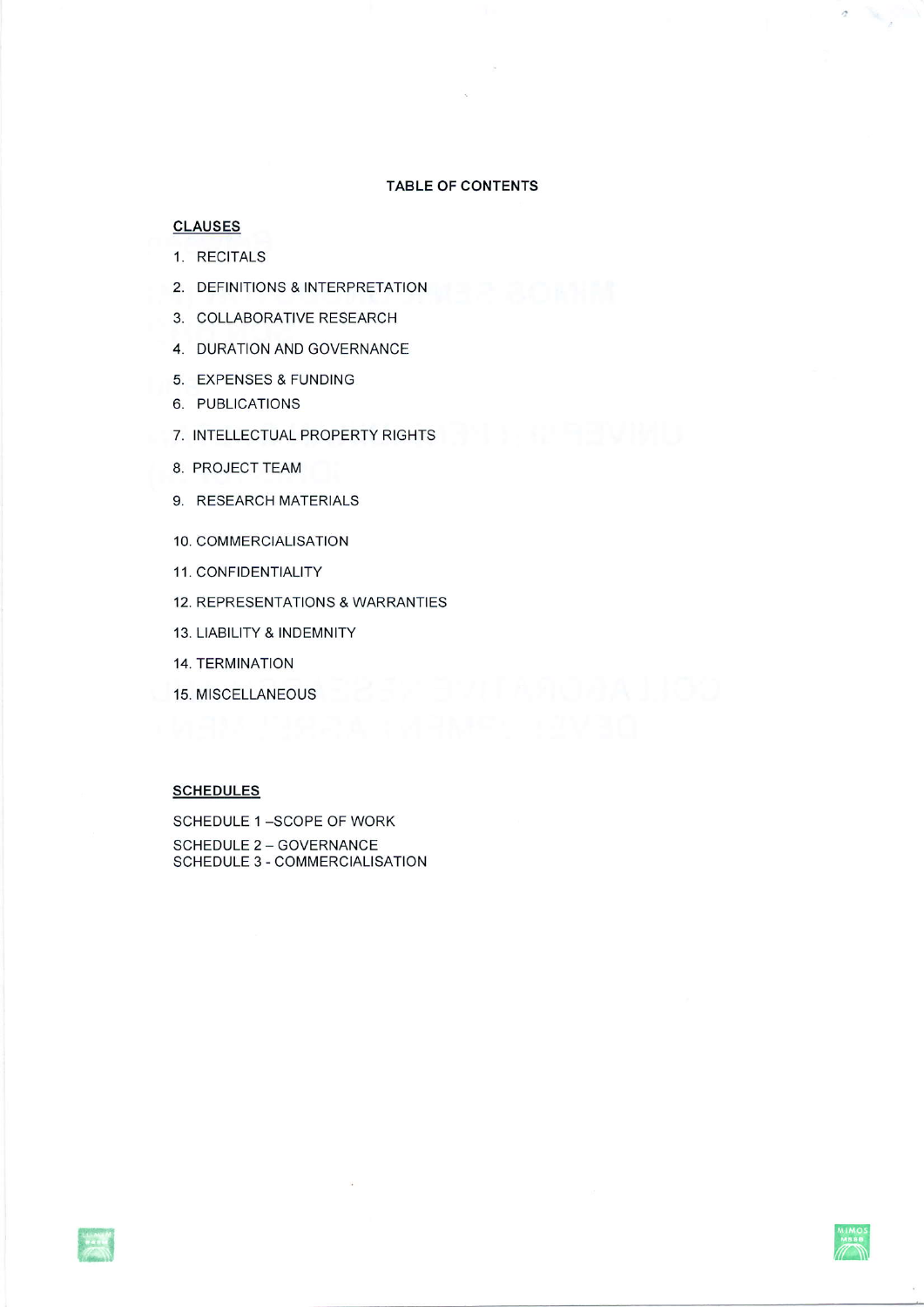#### TABLE OF CONTENTS

#### **CLAUSES**

- 1. RECITALS
- 2. DEFINITIONS & INTERPRETATION
- 3. COLLABORATIVE RESEARCH
- 4. DURATION AND GOVERNANCE
- 5. EXPENSES & FUNDING
- 6. PUBLICATIONS
- 7. INTELLECTUAL PROPERTY RIGHTS
- 8. PROJECT TEAM
- 9. RESEARCH MATERIALS
- 10. COMMERCIALISATION
- <sup>1</sup>1. CONFIDENTIALITY
- 'I2. REPRESENTATIONS & WARRANTIES
- 13. LIABILITY & INDEMNITY
- 14. TERMINATION
- 'I5. MISCELLANEOUS

### **SCHEDULES**

SCHEDULE 1-SCOPE OF WORK SCHEDULE 2 - GOVERNANCE SCHEDULE 3 - COMMERCIALISATION



 $\bar{\mathcal{I}}$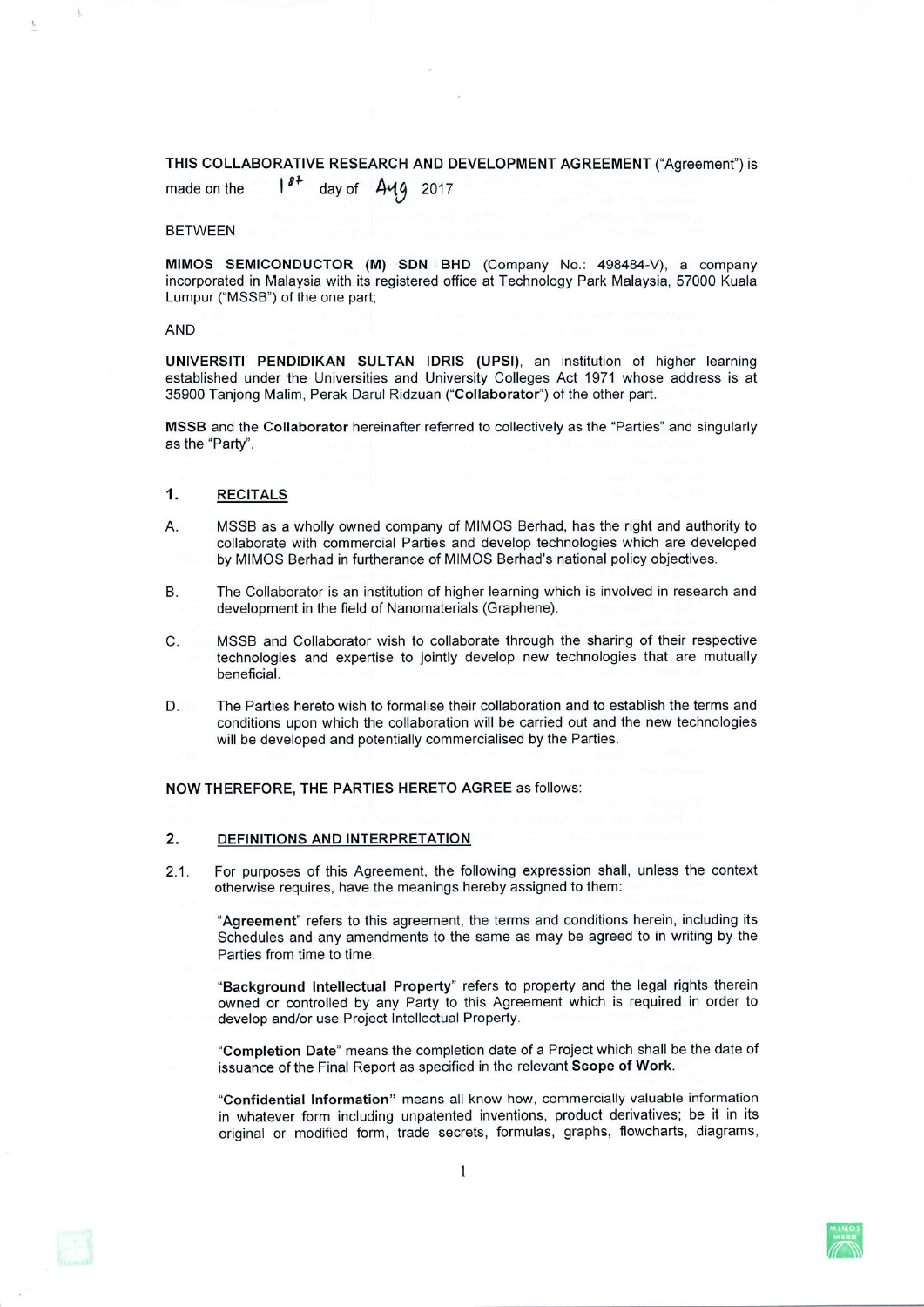### THIS cOLLABORATIVE RESEARCH AND DEVELOPMENT AGREEMENT ("Agreement') is

made on the  $1^{8^2}$  day of  $\Delta$  $49$  2017

#### BETWEEN

MIMOS SEMICONDUCTOR (M) SDN BHD (Company No.: 498484-V), a company incorporated in Malaysia with its registered office at Technology Park Malaysia, 57000 Kuala Lumpur ("MSSB") of the one part;

#### AND

UNIVERSITI PENDIDIKAN SULTAN IDRIS (UPSI), an institution of higher learning established under the Universities and University Colleges Act '1971 whose address is at 35900 Tanjong Malim, Perak Darul Ridzuan ("Collaborator") of the other part.

MSSB and the Collaborator hereinafrer referred to collectively as the "Parties' and singularly as the "Party".

#### 1. **RECITALS**

- A. MSSB as a wholly owned company of MIMOS Berhad, has the right and authority to collaborate with commercial Parties and develop technologies which are developed by MIMOS Berhad in furtherance of MIMOS Berhad's national policy objectives.
- The Collaborator is an institution of higher learning which is involved in research and development in the field of Nanomaterials (Graphene). B.
- $C$ . MSSB and Collaborator wish to collaborate through the sharing of their respective technologies and expertise to jointly develop new technologies that are mutually beneficial.
- The Parties hereto wish to formalise their collaboration and to establish the terms and conditions upon which the collaboration will be carried out and the new technologies will be developed and potentially commercialised by the Parties. D.

NOw THEREFORE, THE PARTIES HERETO AGREE as follows:

#### 2.@ DEFINITIONS AND INTERPRETATION

2.1. For purposes of this Agreement, the following expression shall, unless the context otherwise requires, have the meanings hereby assigned to them:

"Agreement" refers to this agreement, lhe terms and conditions herein, including its Schedules and any amendments to the same as may be agreed to in writing by the Parties from time to time.

"Background Intellectual Property" refers to property and the legal rights therein owned or controlled by any Party to this Agreement which is required in order to develop and/or use Project lntellectual Property.

"Completion Date" means the completion date of a Project which shall be the date of issuance of the Final Report as specified in the relevant Scope of Work.

"Confidential Information" means all know how, commercially valuable information in whatever form including unpatented inventions, product derivatives; be it in its original or modified form, trade secrets, formulas, graphs, flowcharts, diagrams,